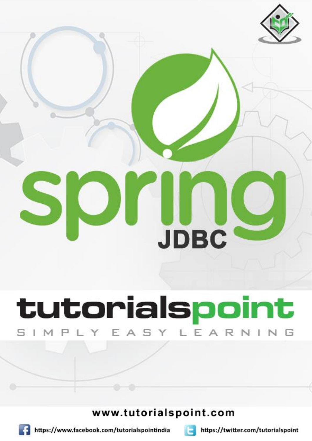

# tutorialspoint Y EASY LEA RNING

# www.tutorialspoint.com





https://twitter.com/tutorialspoint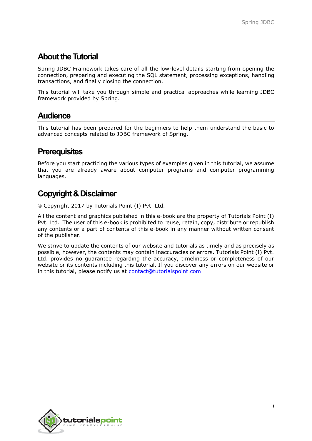## **About the Tutorial**

Spring JDBC Framework takes care of all the low-level details starting from opening the connection, preparing and executing the SQL statement, processing exceptions, handling transactions, and finally closing the connection.

This tutorial will take you through simple and practical approaches while learning JDBC framework provided by Spring.

### **Audience**

This tutorial has been prepared for the beginners to help them understand the basic to advanced concepts related to JDBC framework of Spring.

## **Prerequisites**

Before you start practicing the various types of examples given in this tutorial, we assume that you are already aware about computer programs and computer programming languages.

## **Copyright & Disclaimer**

Copyright 2017 by Tutorials Point (I) Pvt. Ltd.

All the content and graphics published in this e-book are the property of Tutorials Point (I) Pvt. Ltd. The user of this e-book is prohibited to reuse, retain, copy, distribute or republish any contents or a part of contents of this e-book in any manner without written consent of the publisher.

We strive to update the contents of our website and tutorials as timely and as precisely as possible, however, the contents may contain inaccuracies or errors. Tutorials Point (I) Pvt. Ltd. provides no guarantee regarding the accuracy, timeliness or completeness of our website or its contents including this tutorial. If you discover any errors on our website or in this tutorial, please notify us at [contact@tutorialspoint.com](mailto:contact@tutorialspoint.com)

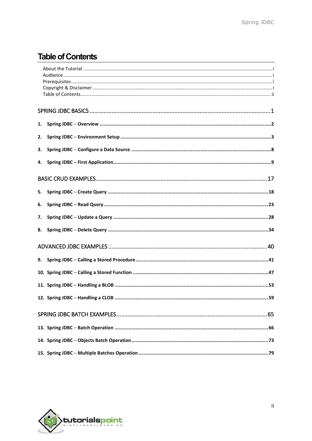# **Table of Contents**

| 1. |                                          |
|----|------------------------------------------|
| 2. |                                          |
| 3. |                                          |
| 4. |                                          |
|    |                                          |
| 5. |                                          |
| 6. |                                          |
| 7. |                                          |
| 8. |                                          |
|    |                                          |
| 9. |                                          |
|    |                                          |
|    |                                          |
|    | 12. Spring JDBC - Handling a CLOB.<br>59 |
|    |                                          |
|    |                                          |
|    |                                          |
|    |                                          |

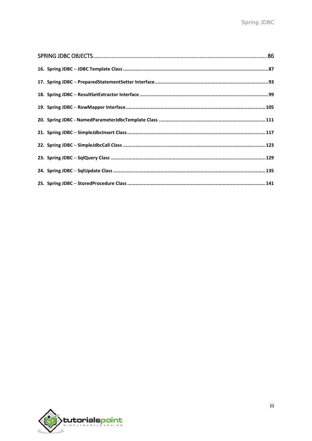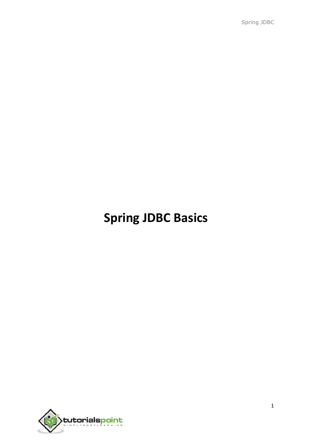Spring JDBC

# **Spring JDBC Basics**

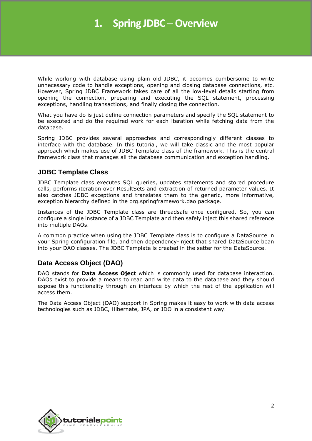# **1. Spring JDBC ─Overview**

While working with database using plain old JDBC, it becomes cumbersome to write unnecessary code to handle exceptions, opening and closing database connections, etc. However, Spring JDBC Framework takes care of all the low-level details starting from opening the connection, preparing and executing the SQL statement, processing exceptions, handling transactions, and finally closing the connection.

What you have do is just define connection parameters and specify the SQL statement to be executed and do the required work for each iteration while fetching data from the database.

Spring JDBC provides several approaches and correspondingly different classes to interface with the database. In this tutorial, we will take classic and the most popular approach which makes use of JDBC Template class of the framework. This is the central framework class that manages all the database communication and exception handling.

#### **JDBC Template Class**

JDBC Template class executes SQL queries, updates statements and stored procedure calls, performs iteration over ResultSets and extraction of returned parameter values. It also catches JDBC exceptions and translates them to the generic, more informative, exception hierarchy defined in the org.springframework.dao package.

Instances of the JDBC Template class are threadsafe once configured. So, you can configure a single instance of a JDBC Template and then safely inject this shared reference into multiple DAOs.

A common practice when using the JDBC Template class is to configure a DataSource in your Spring configuration file, and then dependency-inject that shared DataSource bean into your DAO classes. The JDBC Template is created in the setter for the DataSource.

#### **Data Access Object (DAO)**

DAO stands for **Data Access Oject** which is commonly used for database interaction. DAOs exist to provide a means to read and write data to the database and they should expose this functionality through an interface by which the rest of the application will access them.

The Data Access Object (DAO) support in Spring makes it easy to work with data access technologies such as JDBC, Hibernate, JPA, or JDO in a consistent way.

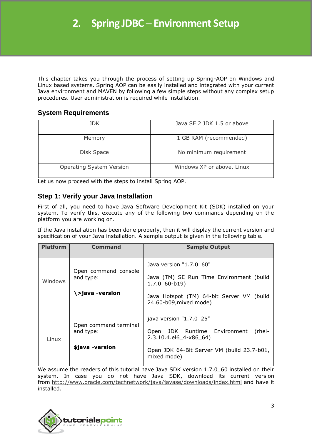This chapter takes you through the process of setting up Spring-AOP on Windows and Linux based systems. Spring AOP can be easily installed and integrated with your current Java environment and MAVEN by following a few simple steps without any complex setup procedures. User administration is required while installation.

#### **System Requirements**

| JDK.                            | Java SE 2 JDK 1.5 or above |
|---------------------------------|----------------------------|
| Memory                          | 1 GB RAM (recommended)     |
| Disk Space                      | No minimum requirement     |
| <b>Operating System Version</b> | Windows XP or above, Linux |

Let us now proceed with the steps to install Spring AOP.

#### **Step 1: Verify your Java Installation**

First of all, you need to have Java Software Development Kit (SDK) installed on your system. To verify this, execute any of the following two commands depending on the platform you are working on.

If the Java installation has been done properly, then it will display the current version and specification of your Java installation. A sample output is given in the following table.

| <b>Platform</b> | <b>Command</b>                                        | <b>Sample Output</b>                                                                                                                                          |
|-----------------|-------------------------------------------------------|---------------------------------------------------------------------------------------------------------------------------------------------------------------|
| Windows         | Open command console<br>and type:<br>\>java -version  | Java version "1.7.0_60"<br>Java (TM) SE Run Time Environment (build<br>$1.7.0$ 60-b19)<br>Java Hotspot (TM) 64-bit Server VM (build<br>24.60-b09, mixed mode) |
| Linux           | Open command terminal<br>and type:<br>\$java -version | java version "1.7.0_25"<br>Open JDK Runtime Environment<br>(rhel-<br>2.3.10.4.el6 4-x86 64)<br>Open JDK 64-Bit Server VM (build 23.7-b01,<br>mixed mode)      |

We assume the readers of this tutorial have Java SDK version 1.7.0\_60 installed on their system. In case you do not have Java SDK, download its current version from <http://www.oracle.com/technetwork/java/javase/downloads/index.html> and have it installed.

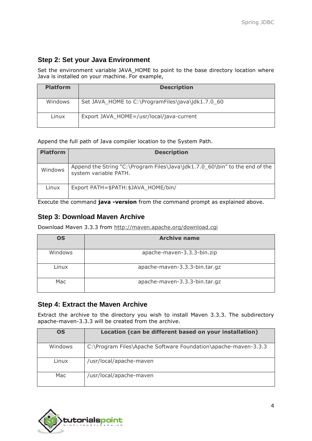#### **Step 2: Set your Java Environment**

Set the environment variable JAVA\_HOME to point to the base directory location where Java is installed on your machine. For example,

| <b>Platform</b> | <b>Description</b>                                |
|-----------------|---------------------------------------------------|
| Windows         | Set JAVA_HOME to C:\ProgramFiles\java\jdk1.7.0_60 |
| Linux           | Export JAVA_HOME=/usr/local/java-current          |

Append the full path of Java compiler location to the System Path.

| <b>Platform</b> | <b>Description</b>                                                                                   |
|-----------------|------------------------------------------------------------------------------------------------------|
| Windows         | Append the String "C:\Program Files\Java\jdk1.7.0_60\bin" to the end of the<br>system variable PATH. |
| Linux           | Export PATH=\$PATH:\$JAVA HOME/bin/                                                                  |

Execute the command **java -version** from the command prompt as explained above.

#### **Step 3: Download Maven Archive**

Download Maven 3.3.3 from <http://maven.apache.org/download.cgi>

| <b>OS</b> | <b>Archive name</b>           |
|-----------|-------------------------------|
| Windows   | apache-maven-3.3.3-bin.zip    |
| Linux     | apache-maven-3.3.3-bin.tar.gz |
| Mac       | apache-maven-3.3.3-bin.tar.gz |

#### **Step 4: Extract the Maven Archive**

Extract the archive to the directory you wish to install Maven 3.3.3. The subdirectory apache-maven-3.3.3 will be created from the archive.

| <b>OS</b> | Location (can be different based on your installation)         |
|-----------|----------------------------------------------------------------|
| Windows   | C:\Program Files\Apache Software Foundation\apache-maven-3.3.3 |
| Linux     | /usr/local/apache-maven                                        |
| Mac       | /usr/local/apache-maven                                        |

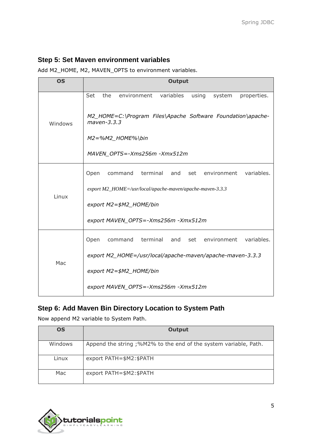#### **Step 5: Set Maven environment variables**

Add M2\_HOME, M2, MAVEN\_OPTS to environment variables.

| <b>OS</b> | <b>Output</b>                                                                |
|-----------|------------------------------------------------------------------------------|
|           | Set<br>the<br>environment<br>variables<br>properties.<br>using<br>system     |
| Windows   | M2_HOME=C:\Program Files\Apache Software Foundation\apache-<br>$maven-3.3.3$ |
|           | $M2 = %M2_HOME%$                                                             |
|           | MAVEN OPTS=-Xms256m-Xmx512m                                                  |
|           | variables.<br>Open<br>terminal<br>and<br>set<br>environment<br>command       |
|           | export M2_HOME=/usr/local/apache-maven/apache-maven-3.3.3                    |
| Linux     | export M2=\$M2_HOME/bin                                                      |
|           | export MAVEN_OPTS=-Xms256m -Xmx512m                                          |
|           | terminal<br>environment<br>variables.<br>Open<br>command<br>and<br>set       |
| Mac       | export M2_HOME=/usr/local/apache-maven/apache-maven-3.3.3                    |
|           | export M2=\$M2_HOME/bin                                                      |
|           | export MAVEN_OPTS=-Xms256m -Xmx512m                                          |

## **Step 6: Add Maven Bin Directory Location to System Path**

Now append M2 variable to System Path.

| OS      | Output                                                           |
|---------|------------------------------------------------------------------|
| Windows | Append the string ;%M2% to the end of the system variable, Path. |
| Linux   | export PATH=\$M2:\$PATH                                          |
| Mac     | export PATH=\$M2:\$PATH                                          |

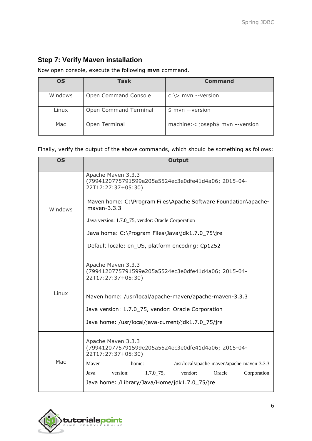### **Step 7: Verify Maven installation**

Now open console, execute the following **mvn** command.

| <b>OS</b> | Task                  | Command                           |
|-----------|-----------------------|-----------------------------------|
| Windows   | Open Command Console  | $c:\rangle$ mvn --version         |
| Linux     | Open Command Terminal | \$ mvn --version                  |
| Mac       | Open Terminal         | machine: < joseph\$ mvn --version |

Finally, verify the output of the above commands, which should be something as follows:

| <b>OS</b> | <b>Output</b>                                                                                   |
|-----------|-------------------------------------------------------------------------------------------------|
|           | Apache Maven 3.3.3<br>(7994120775791599e205a5524ec3e0dfe41d4a06; 2015-04-<br>22T17:27:37+05:30) |
| Windows   | Maven home: C:\Program Files\Apache Software Foundation\apache-<br>$maven-3.3.3$                |
|           | Java version: 1.7.0_75, vendor: Oracle Corporation                                              |
|           | Java home: C:\Program Files\Java\jdk1.7.0_75\jre                                                |
|           | Default locale: en_US, platform encoding: Cp1252                                                |
|           | Apache Maven 3.3.3<br>(7994120775791599e205a5524ec3e0dfe41d4a06; 2015-04-<br>22T17:27:37+05:30) |
| Linux     | Maven home: /usr/local/apache-maven/apache-maven-3.3.3                                          |
|           | Java version: 1.7.0_75, vendor: Oracle Corporation                                              |
|           | Java home: /usr/local/java-current/jdk1.7.0_75/jre                                              |
|           | Apache Maven 3.3.3<br>(7994120775791599e205a5524ec3e0dfe41d4a06; 2015-04-<br>22T17:27:37+05:30) |
| Mac       | Mayen<br>/usr/local/apache-maven/apache-maven-3.3.3<br>home:                                    |
|           | $1.7.0$ 75,<br>Oracle<br>Corporation<br>Java<br>version:<br>vendor:                             |
|           | Java home: /Library/Java/Home/jdk1.7.0_75/jre                                                   |

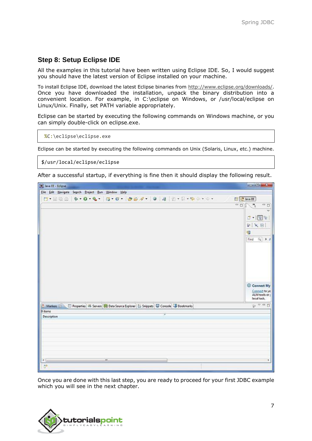#### **Step 8: Setup Eclipse IDE**

All the examples in this tutorial have been written using Eclipse IDE. So, I would suggest you should have the latest version of Eclipse installed on your machine.

To install Eclipse IDE, download the latest Eclipse binaries from [http://www.eclipse.org/downloads/.](http://www.eclipse.org/downloads/) Once you have downloaded the installation, unpack the binary distribution into a convenient location. For example, in C:\eclipse on Windows, or /usr/local/eclipse on Linux/Unix. Finally, set PATH variable appropriately.

Eclipse can be started by executing the following commands on Windows machine, or you can simply double-click on eclipse.exe.

```
%C:\eclipse\eclipse.exe
```
Eclipse can be started by executing the following commands on Unix (Solaris, Linux, etc.) machine.

```
$/usr/local/eclipse/eclipse
```
After a successful startup, if everything is fine then it should display the following result.



Once you are done with this last step, you are ready to proceed for your first JDBC example which you will see in the next chapter.

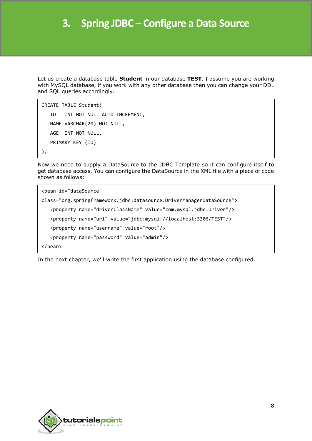Let us create a database table **Student** in our database **TEST**. I assume you are working with MySQL database, if you work with any other database then you can change your DDL and SQL queries accordingly.

```
CREATE TABLE Student(
   ID INT NOT NULL AUTO INCREMENT,
    NAME VARCHAR(20) NOT NULL,
    AGE INT NOT NULL,
    PRIMARY KEY (ID)
```
);

Now we need to supply a DataSource to the JDBC Template so it can configure itself to get database access. You can configure the DataSource in the XML file with a piece of code shown as follows:

```
<bean id="dataSource"
class="org.springframework.jdbc.datasource.DriverManagerDataSource">
    <property name="driverClassName" value="com.mysql.jdbc.Driver"/>
    <property name="url" value="jdbc:mysql://localhost:3306/TEST"/>
    <property name="username" value="root"/>
    <property name="password" value="admin"/>
</bean>
```
In the next chapter, we'll write the first application using the database configured.

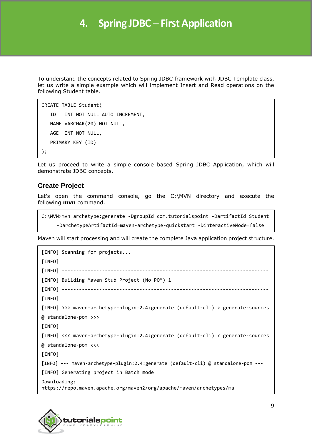# **4. Spring JDBC ─ First Application**

To understand the concepts related to Spring JDBC framework with JDBC Template class, let us write a simple example which will implement Insert and Read operations on the following Student table.

```
CREATE TABLE Student(
   ID INT NOT NULL AUTO INCREMENT,
    NAME VARCHAR(20) NOT NULL,
    AGE INT NOT NULL,
    PRIMARY KEY (ID)
);
```
Let us proceed to write a simple console based Spring JDBC Application, which will demonstrate JDBC concepts.

#### **Create Project**

Let's open the command console, go the C:\MVN directory and execute the following **mvn** command.

```
C:\MVN>mvn archetype:generate -DgroupId=com.tutorialspoint -DartifactId=Student
     -DarchetypeArtifactId=maven-archetype-quickstart -DinteractiveMode=false
```
Maven will start processing and will create the complete Java application project structure.

```
[INFO] Scanning for projects...
[INFO]
[INFO] ------------------------------------------------------------------------
[INFO] Building Maven Stub Project (No POM) 1
[INFO] ------------------------------------------------------------------------
[INFO]
[INFO] >>> maven-archetype-plugin:2.4:generate (default-cli) > generate-sources
@ standalone-pom >>>
[INFO]
[INFO] <<< maven-archetype-plugin:2.4:generate (default-cli) < generate-sources
@ standalone-pom <<<
[INFO]
[INFO] --- maven-archetype-plugin:2.4:generate (default-cli) @ standalone-pom ---
[INFO] Generating project in Batch mode
Downloading:
https://repo.maven.apache.org/maven2/org/apache/maven/archetypes/ma
```
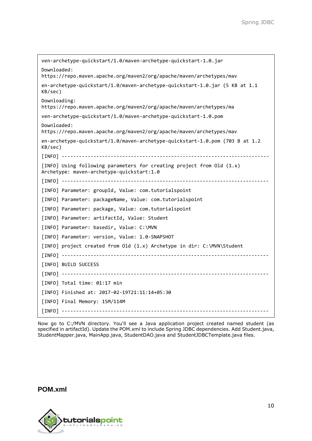```
ven-archetype-quickstart/1.0/maven-archetype-quickstart-1.0.jar
Downloaded:
https://repo.maven.apache.org/maven2/org/apache/maven/archetypes/mav
en-archetype-quickstart/1.0/maven-archetype-quickstart-1.0.jar (5 KB at 1.1
KB/sec)
Downloading:
https://repo.maven.apache.org/maven2/org/apache/maven/archetypes/ma
ven-archetype-quickstart/1.0/maven-archetype-quickstart-1.0.pom
Downloaded:
https://repo.maven.apache.org/maven2/org/apache/maven/archetypes/mav
en-archetype-quickstart/1.0/maven-archetype-quickstart-1.0.pom (703 B at 1.2
KB/sec)
[INFO] ------------------------------------------------------------------------
[INFO] Using following parameters for creating project from Old (1.x)
Archetype: maven-archetype-quickstart:1.0
[INFO] ------------------------------------------------------------------------
[INFO] Parameter: groupId, Value: com.tutorialspoint
[INFO] Parameter: packageName, Value: com.tutorialspoint
[INFO] Parameter: package, Value: com.tutorialspoint
[INFO] Parameter: artifactId, Value: Student
[INFO] Parameter: basedir, Value: C:\MVN
[INFO] Parameter: version, Value: 1.0-SNAPSHOT
[INFO] project created from Old (1.x) Archetype in dir: C:\MVN\Student
[INFO] ------------------------------------------------------------------------
[INFO] BUILD SUCCESS
[INFO] ------------------------------------------------------------------------
[INFO] Total time: 01:17 min
[INFO] Finished at: 2017-02-19T21:11:14+05:30
[INFO] Final Memory: 15M/114M
[INFO] ------------------------------------------------------------------------
```
Now go to C:/MVN directory. You'll see a Java application project created named student (as specified in artifactId). Update the POM.xml to include Spring JDBC dependencies. Add Student.java, StudentMapper.java, MainApp.java, StudentDAO.java and StudentJDBCTemplate.java files.

**POM.xml**

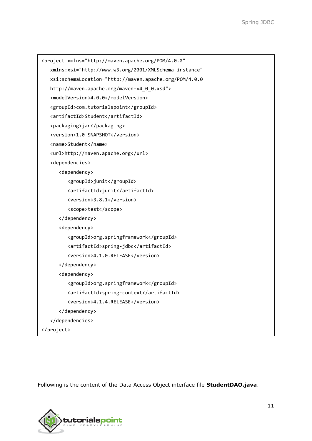```
<project xmlns="http://maven.apache.org/POM/4.0.0"
    xmlns:xsi="http://www.w3.org/2001/XMLSchema-instance"
    xsi:schemaLocation="http://maven.apache.org/POM/4.0.0 
    http://maven.apache.org/maven-v4_0_0.xsd">
    <modelVersion>4.0.0</modelVersion>
    <groupId>com.tutorialspoint</groupId>
    <artifactId>Student</artifactId>
    <packaging>jar</packaging>
    <version>1.0-SNAPSHOT</version>
    <name>Student</name>
    <url>http://maven.apache.org</url>
    <dependencies>
       <dependency>
          <groupId>junit</groupId>
          <artifactId>junit</artifactId>
          <version>3.8.1</version>
          <scope>test</scope>
       </dependency>
       <dependency>
          <groupId>org.springframework</groupId>
          <artifactId>spring-jdbc</artifactId>
          <version>4.1.0.RELEASE</version>
       </dependency>
       <dependency>
          <groupId>org.springframework</groupId>
          <artifactId>spring-context</artifactId>
          <version>4.1.4.RELEASE</version>
       </dependency>
    </dependencies>
</project>
```
Following is the content of the Data Access Object interface file **StudentDAO.java**.

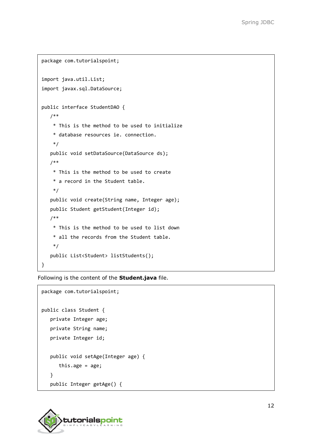```
package com.tutorialspoint;
import java.util.List;
import javax.sql.DataSource;
public interface StudentDAO {
    /** 
     * This is the method to be used to initialize
     * database resources ie. connection.
     */
    public void setDataSource(DataSource ds);
    /** 
     * This is the method to be used to create
     * a record in the Student table.
     */
    public void create(String name, Integer age);
    public Student getStudent(Integer id);
    /** 
     * This is the method to be used to list down
     * all the records from the Student table.
     */
    public List<Student> listStudents();
}
```
Following is the content of the **Student.java** file.

```
package com.tutorialspoint;
public class Student {
    private Integer age;
    private String name;
    private Integer id;
    public void setAge(Integer age) {
      this.age = age;
    }
    public Integer getAge() {
```
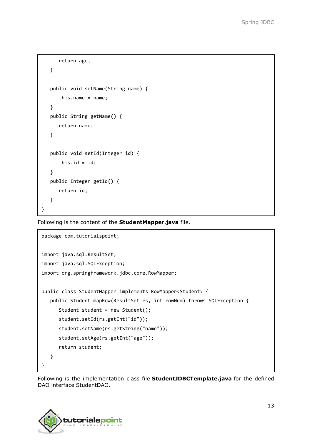```
 return age;
    }
    public void setName(String name) {
       this.name = name;
    }
    public String getName() {
       return name;
    }
    public void setId(Integer id) {
      this.id = id;
    }
    public Integer getId() {
       return id;
    }
}
```
Following is the content of the **StudentMapper.java** file.

```
package com.tutorialspoint;
import java.sql.ResultSet;
import java.sql.SQLException;
import org.springframework.jdbc.core.RowMapper;
public class StudentMapper implements RowMapper<Student> {
    public Student mapRow(ResultSet rs, int rowNum) throws SQLException {
      Student student = new Student();
       student.setId(rs.getInt("id"));
       student.setName(rs.getString("name"));
       student.setAge(rs.getInt("age"));
       return student;
    }
}
```
Following is the implementation class file **StudentJDBCTemplate.java** for the defined DAO interface StudentDAO.

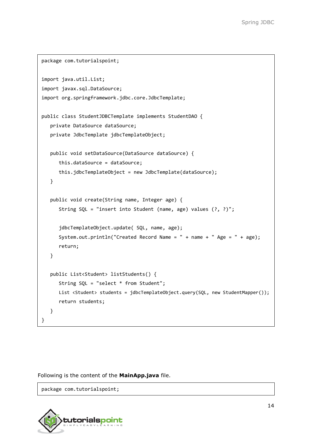```
package com.tutorialspoint;
import java.util.List;
import javax.sql.DataSource;
import org.springframework.jdbc.core.JdbcTemplate;
public class StudentJDBCTemplate implements StudentDAO {
    private DataSource dataSource;
    private JdbcTemplate jdbcTemplateObject;
    public void setDataSource(DataSource dataSource) {
       this.dataSource = dataSource;
       this.jdbcTemplateObject = new JdbcTemplate(dataSource);
    }
    public void create(String name, Integer age) {
       String SQL = "insert into Student (name, age) values (?, ?)";
       jdbcTemplateObject.update( SQL, name, age);
       System.out.println("Created Record Name = " + name + " Age = " + age);
       return;
    }
    public List<Student> listStudents() {
       String SQL = "select * from Student";
      List <Student> students = jdbcTemplateObject.query(SQL, new StudentMapper());
       return students;
    }
}
```
Following is the content of the **MainApp.java** file.

package com.tutorialspoint;

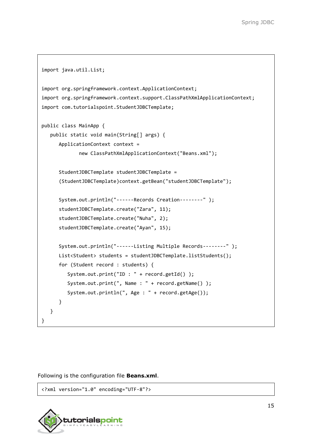```
import java.util.List;
import org.springframework.context.ApplicationContext;
import org.springframework.context.support.ClassPathXmlApplicationContext;
import com.tutorialspoint.StudentJDBCTemplate;
public class MainApp {
    public static void main(String[] args) {
       ApplicationContext context =
              new ClassPathXmlApplicationContext("Beans.xml");
       StudentJDBCTemplate studentJDBCTemplate =
       (StudentJDBCTemplate)context.getBean("studentJDBCTemplate");
       System.out.println("------Records Creation--------" );
       studentJDBCTemplate.create("Zara", 11);
       studentJDBCTemplate.create("Nuha", 2);
       studentJDBCTemplate.create("Ayan", 15);
       System.out.println("------Listing Multiple Records--------" );
      List<Student> students = studentJDBCTemplate.listStudents();
       for (Student record : students) {
         System.out.print("ID : " + record.getId() );
          System.out.print(", Name : " + record.getName() );
          System.out.println(", Age : " + record.getAge());
       } 
    }
}
```
Following is the configuration file **Beans.xml**.

<?xml version="1.0" encoding="UTF-8"?>

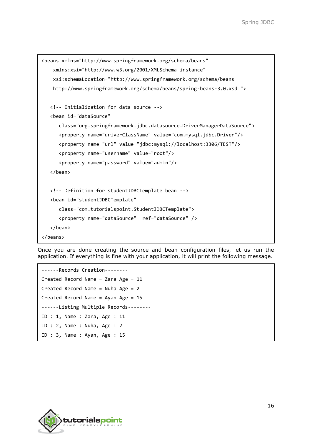```
<beans xmlns="http://www.springframework.org/schema/beans"
     xmlns:xsi="http://www.w3.org/2001/XMLSchema-instance"
     xsi:schemaLocation="http://www.springframework.org/schema/beans
     http://www.springframework.org/schema/beans/spring-beans-3.0.xsd ">
    <!-- Initialization for data source -->
    <bean id="dataSource"
       class="org.springframework.jdbc.datasource.DriverManagerDataSource">
       <property name="driverClassName" value="com.mysql.jdbc.Driver"/>
       <property name="url" value="jdbc:mysql://localhost:3306/TEST"/>
       <property name="username" value="root"/>
       <property name="password" value="admin"/>
    </bean>
    <!-- Definition for studentJDBCTemplate bean -->
    <bean id="studentJDBCTemplate"
       class="com.tutorialspoint.StudentJDBCTemplate">
       <property name="dataSource" ref="dataSource" /> 
    </bean>
</beans>
```
Once you are done creating the source and bean configuration files, let us run the application. If everything is fine with your application, it will print the following message.

```
------Records Creation--------
Created Record Name = Zara Age = 11
Created Record Name = Nuha Age = 2
Created Record Name = Ayan Age = 15
------Listing Multiple Records--------
ID : 1, Name : Zara, Age : 11
ID : 2, Name : Nuha, Age : 2
ID : 3, Name : Ayan, Age : 15
```